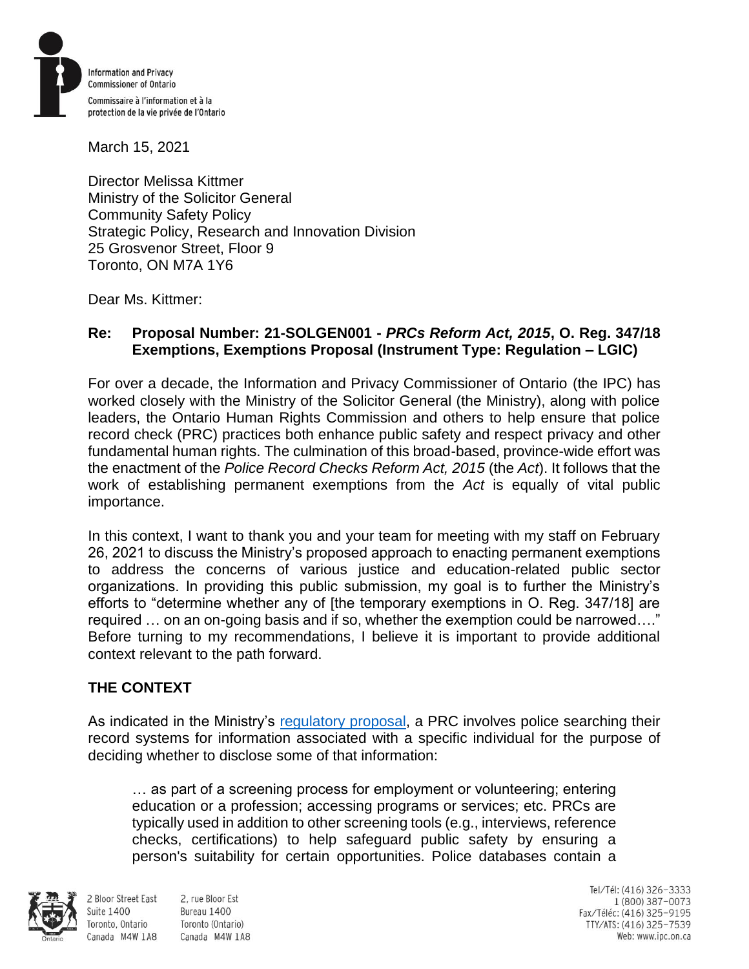

March 15, 2021

Director Melissa Kittmer Ministry of the Solicitor General Community Safety Policy Strategic Policy, Research and Innovation Division 25 Grosvenor Street, Floor 9 Toronto, ON M7A 1Y6

Dear Ms. Kittmer:

#### **Re: Proposal Number: 21-SOLGEN001 -** *PRCs Reform Act, 2015***, O. Reg. 347/18 Exemptions, Exemptions Proposal (Instrument Type: Regulation – LGIC)**

For over a decade, the Information and Privacy Commissioner of Ontario (the IPC) has worked closely with the Ministry of the Solicitor General (the Ministry), along with police leaders, the Ontario Human Rights Commission and others to help ensure that police record check (PRC) practices both enhance public safety and respect privacy and other fundamental human rights. The culmination of this broad-based, province-wide effort was the enactment of the *Police Record Checks Reform Act, 2015* (the *Act*). It follows that the work of establishing permanent exemptions from the *Act* is equally of vital public importance.

In this context, I want to thank you and your team for meeting with my staff on February 26, 2021 to discuss the Ministry's proposed approach to enacting permanent exemptions to address the concerns of various justice and education-related public sector organizations. In providing this public submission, my goal is to further the Ministry's efforts to "determine whether any of [the temporary exemptions in O. Reg. 347/18] are required … on an on-going basis and if so, whether the exemption could be narrowed…." Before turning to my recommendations, I believe it is important to provide additional context relevant to the path forward.

## **THE CONTEXT**

As indicated in the Ministry's [regulatory proposal,](https://www.ontariocanada.com/registry/view.do?postingId=36228&language=en) a PRC involves police searching their record systems for information associated with a specific individual for the purpose of deciding whether to disclose some of that information:

… as part of a screening process for employment or volunteering; entering education or a profession; accessing programs or services; etc. PRCs are typically used in addition to other screening tools (e.g., interviews, reference checks, certifications) to help safeguard public safety by ensuring a person's suitability for certain opportunities. Police databases contain a



**Suite 1400** 

Toronto, Ontario

2 Bloor Street East 2. rue Bloor Est Bureau 1400 Toronto (Ontario) Canada M4W 1A8 Canada M4W 1A8

Tel/Tél: (416) 326-3333 1 (800) 387-0073 Fax/Téléc: (416) 325-9195 TTY/ATS: (416) 325-7539<br>Web: www.ipc.on.ca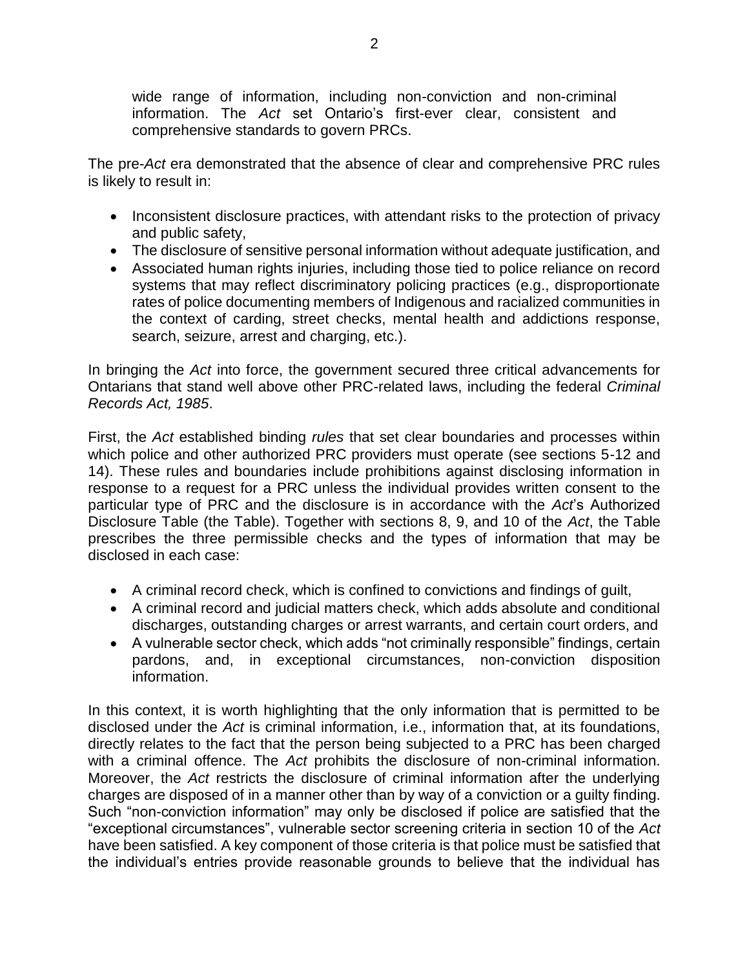wide range of information, including non-conviction and non-criminal information. The *Act* set Ontario's first-ever clear, consistent and comprehensive standards to govern PRCs.

The pre-*Act* era demonstrated that the absence of clear and comprehensive PRC rules is likely to result in:

- Inconsistent disclosure practices, with attendant risks to the protection of privacy and public safety,
- The disclosure of sensitive personal information without adequate justification, and
- Associated human rights injuries, including those tied to police reliance on record systems that may reflect discriminatory policing practices (e.g., disproportionate rates of police documenting members of Indigenous and racialized communities in the context of carding, street checks, mental health and addictions response, search, seizure, arrest and charging, etc.).

In bringing the *Act* into force, the government secured three critical advancements for Ontarians that stand well above other PRC-related laws, including the federal *Criminal Records Act, 1985*.

First, the *Act* established binding *rules* that set clear boundaries and processes within which police and other authorized PRC providers must operate (see sections 5-12 and 14). These rules and boundaries include prohibitions against disclosing information in response to a request for a PRC unless the individual provides written consent to the particular type of PRC and the disclosure is in accordance with the *Act*'s Authorized Disclosure Table (the Table). Together with sections 8, 9, and 10 of the *Act*, the Table prescribes the three permissible checks and the types of information that may be disclosed in each case:

- A criminal record check, which is confined to convictions and findings of guilt,
- A criminal record and judicial matters check, which adds absolute and conditional discharges, outstanding charges or arrest warrants, and certain court orders, and
- A vulnerable sector check, which adds "not criminally responsible" findings, certain pardons, and, in exceptional circumstances, non-conviction disposition information.

In this context, it is worth highlighting that the only information that is permitted to be disclosed under the *Act* is criminal information, i.e., information that, at its foundations, directly relates to the fact that the person being subjected to a PRC has been charged with a criminal offence. The *Act* prohibits the disclosure of non-criminal information. Moreover, the *Act* restricts the disclosure of criminal information after the underlying charges are disposed of in a manner other than by way of a conviction or a guilty finding. Such "non-conviction information" may only be disclosed if police are satisfied that the "exceptional circumstances", vulnerable sector screening criteria in section 10 of the *Act* have been satisfied. A key component of those criteria is that police must be satisfied that the individual's entries provide reasonable grounds to believe that the individual has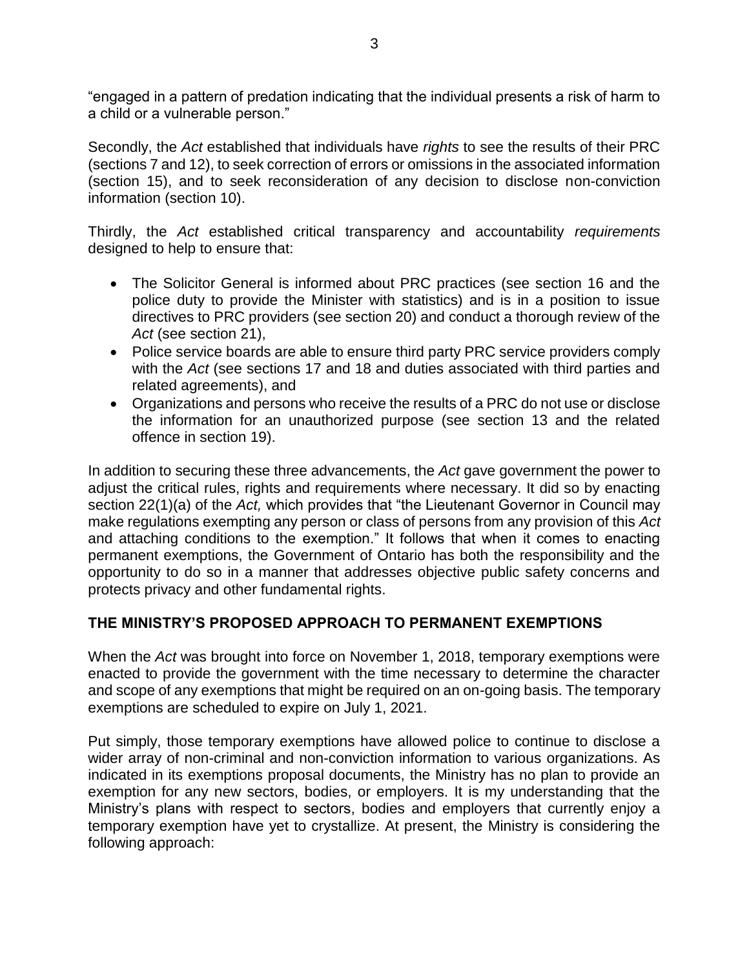"engaged in a pattern of predation indicating that the individual presents a risk of harm to a child or a vulnerable person."

Secondly, the *Act* established that individuals have *rights* to see the results of their PRC (sections 7 and 12), to seek correction of errors or omissions in the associated information (section 15), and to seek reconsideration of any decision to disclose non-conviction information (section 10).

Thirdly, the *Act* established critical transparency and accountability *requirements* designed to help to ensure that:

- The Solicitor General is informed about PRC practices (see section 16 and the police duty to provide the Minister with statistics) and is in a position to issue directives to PRC providers (see section 20) and conduct a thorough review of the *Act* (see section 21),
- Police service boards are able to ensure third party PRC service providers comply with the *Act* (see sections 17 and 18 and duties associated with third parties and related agreements), and
- Organizations and persons who receive the results of a PRC do not use or disclose the information for an unauthorized purpose (see section 13 and the related offence in section 19).

In addition to securing these three advancements, the *Act* gave government the power to adjust the critical rules, rights and requirements where necessary. It did so by enacting section 22(1)(a) of the *Act,* which provides that "the Lieutenant Governor in Council may make regulations exempting any person or class of persons from any provision of this *Act* and attaching conditions to the exemption." It follows that when it comes to enacting permanent exemptions, the Government of Ontario has both the responsibility and the opportunity to do so in a manner that addresses objective public safety concerns and protects privacy and other fundamental rights.

## **THE MINISTRY'S PROPOSED APPROACH TO PERMANENT EXEMPTIONS**

When the *Act* was brought into force on November 1, 2018, temporary exemptions were enacted to provide the government with the time necessary to determine the character and scope of any exemptions that might be required on an on-going basis. The temporary exemptions are scheduled to expire on July 1, 2021.

Put simply, those temporary exemptions have allowed police to continue to disclose a wider array of non-criminal and non-conviction information to various organizations. As indicated in its exemptions proposal documents, the Ministry has no plan to provide an exemption for any new sectors, bodies, or employers. It is my understanding that the Ministry's plans with respect to sectors, bodies and employers that currently enjoy a temporary exemption have yet to crystallize. At present, the Ministry is considering the following approach: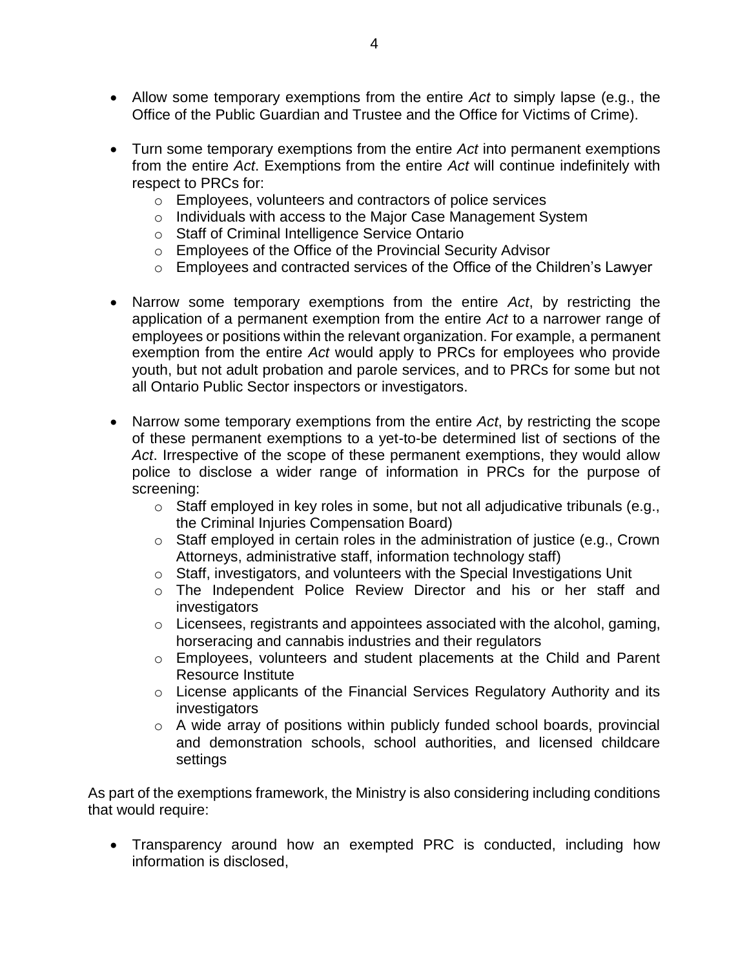- Allow some temporary exemptions from the entire *Act* to simply lapse (e.g., the Office of the Public Guardian and Trustee and the Office for Victims of Crime).
- Turn some temporary exemptions from the entire *Act* into permanent exemptions from the entire *Act*. Exemptions from the entire *Act* will continue indefinitely with respect to PRCs for:
	- o Employees, volunteers and contractors of police services
	- o Individuals with access to the Major Case Management System
	- o Staff of Criminal Intelligence Service Ontario
	- o Employees of the Office of the Provincial Security Advisor
	- o Employees and contracted services of the Office of the Children's Lawyer
- Narrow some temporary exemptions from the entire *Act*, by restricting the application of a permanent exemption from the entire *Act* to a narrower range of employees or positions within the relevant organization. For example, a permanent exemption from the entire *Act* would apply to PRCs for employees who provide youth, but not adult probation and parole services, and to PRCs for some but not all Ontario Public Sector inspectors or investigators.
- Narrow some temporary exemptions from the entire *Act*, by restricting the scope of these permanent exemptions to a yet-to-be determined list of sections of the *Act*. Irrespective of the scope of these permanent exemptions, they would allow police to disclose a wider range of information in PRCs for the purpose of screening:
	- o Staff employed in key roles in some, but not all adjudicative tribunals (e.g., the Criminal Injuries Compensation Board)
	- o Staff employed in certain roles in the administration of justice (e.g., Crown Attorneys, administrative staff, information technology staff)
	- o Staff, investigators, and volunteers with the Special Investigations Unit
	- o The Independent Police Review Director and his or her staff and investigators
	- o Licensees, registrants and appointees associated with the alcohol, gaming, horseracing and cannabis industries and their regulators
	- o Employees, volunteers and student placements at the Child and Parent Resource Institute
	- o License applicants of the Financial Services Regulatory Authority and its investigators
	- o A wide array of positions within publicly funded school boards, provincial and demonstration schools, school authorities, and licensed childcare settings

As part of the exemptions framework, the Ministry is also considering including conditions that would require:

 Transparency around how an exempted PRC is conducted, including how information is disclosed,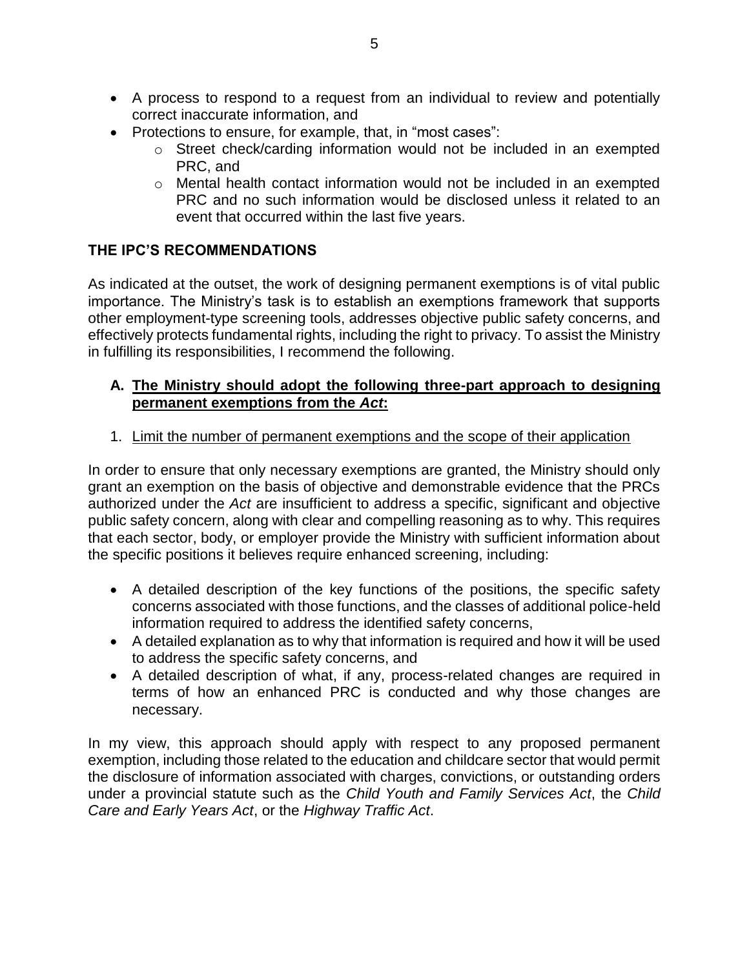- A process to respond to a request from an individual to review and potentially correct inaccurate information, and
- Protections to ensure, for example, that, in "most cases":
	- o Street check/carding information would not be included in an exempted PRC, and
	- o Mental health contact information would not be included in an exempted PRC and no such information would be disclosed unless it related to an event that occurred within the last five years.

# **THE IPC'S RECOMMENDATIONS**

As indicated at the outset, the work of designing permanent exemptions is of vital public importance. The Ministry's task is to establish an exemptions framework that supports other employment-type screening tools, addresses objective public safety concerns, and effectively protects fundamental rights, including the right to privacy. To assist the Ministry in fulfilling its responsibilities, I recommend the following.

### **A. The Ministry should adopt the following three-part approach to designing permanent exemptions from the** *Act***:**

## 1. Limit the number of permanent exemptions and the scope of their application

In order to ensure that only necessary exemptions are granted, the Ministry should only grant an exemption on the basis of objective and demonstrable evidence that the PRCs authorized under the *Act* are insufficient to address a specific, significant and objective public safety concern, along with clear and compelling reasoning as to why. This requires that each sector, body, or employer provide the Ministry with sufficient information about the specific positions it believes require enhanced screening, including:

- A detailed description of the key functions of the positions, the specific safety concerns associated with those functions, and the classes of additional police-held information required to address the identified safety concerns,
- A detailed explanation as to why that information is required and how it will be used to address the specific safety concerns, and
- A detailed description of what, if any, process-related changes are required in terms of how an enhanced PRC is conducted and why those changes are necessary.

In my view, this approach should apply with respect to any proposed permanent exemption, including those related to the education and childcare sector that would permit the disclosure of information associated with charges, convictions, or outstanding orders under a provincial statute such as the *Child Youth and Family Services Act*, the *Child Care and Early Years Act*, or the *Highway Traffic Act*.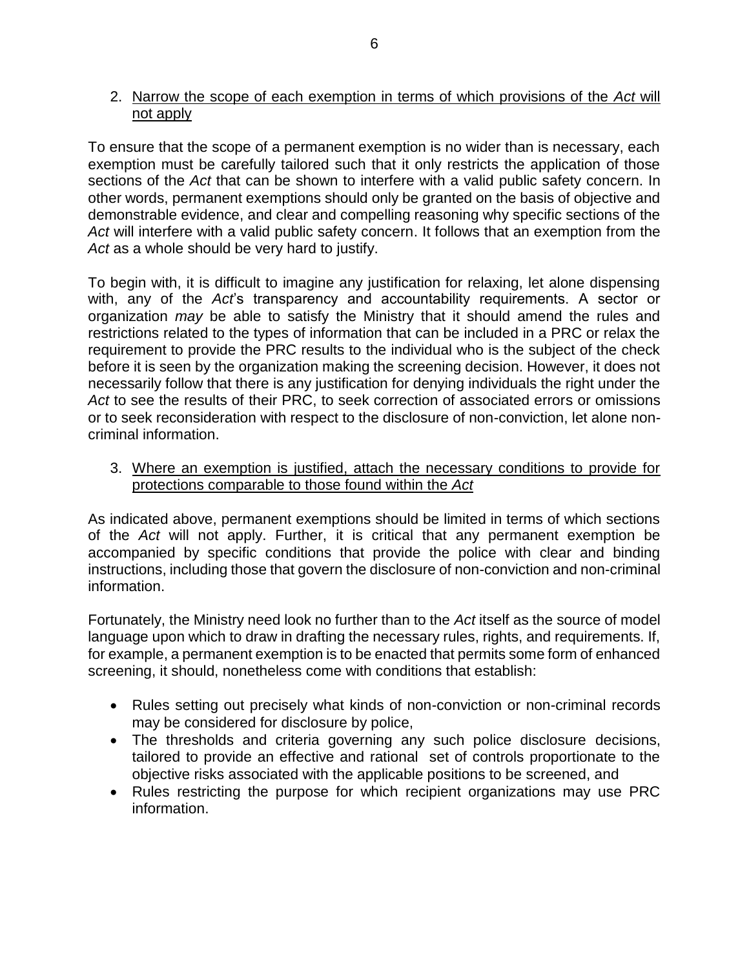### 2. Narrow the scope of each exemption in terms of which provisions of the *Act* will not apply

To ensure that the scope of a permanent exemption is no wider than is necessary, each exemption must be carefully tailored such that it only restricts the application of those sections of the *Act* that can be shown to interfere with a valid public safety concern. In other words, permanent exemptions should only be granted on the basis of objective and demonstrable evidence, and clear and compelling reasoning why specific sections of the *Act* will interfere with a valid public safety concern. It follows that an exemption from the *Act* as a whole should be very hard to justify.

To begin with, it is difficult to imagine any justification for relaxing, let alone dispensing with, any of the *Act*'s transparency and accountability requirements. A sector or organization *may* be able to satisfy the Ministry that it should amend the rules and restrictions related to the types of information that can be included in a PRC or relax the requirement to provide the PRC results to the individual who is the subject of the check before it is seen by the organization making the screening decision. However, it does not necessarily follow that there is any justification for denying individuals the right under the *Act* to see the results of their PRC, to seek correction of associated errors or omissions or to seek reconsideration with respect to the disclosure of non-conviction, let alone noncriminal information.

3. Where an exemption is justified, attach the necessary conditions to provide for protections comparable to those found within the *Act*

As indicated above, permanent exemptions should be limited in terms of which sections of the *Act* will not apply. Further, it is critical that any permanent exemption be accompanied by specific conditions that provide the police with clear and binding instructions, including those that govern the disclosure of non-conviction and non-criminal information.

Fortunately, the Ministry need look no further than to the *Act* itself as the source of model language upon which to draw in drafting the necessary rules, rights, and requirements. If, for example, a permanent exemption is to be enacted that permits some form of enhanced screening, it should, nonetheless come with conditions that establish:

- Rules setting out precisely what kinds of non-conviction or non-criminal records may be considered for disclosure by police,
- The thresholds and criteria governing any such police disclosure decisions, tailored to provide an effective and rational set of controls proportionate to the objective risks associated with the applicable positions to be screened, and
- Rules restricting the purpose for which recipient organizations may use PRC information.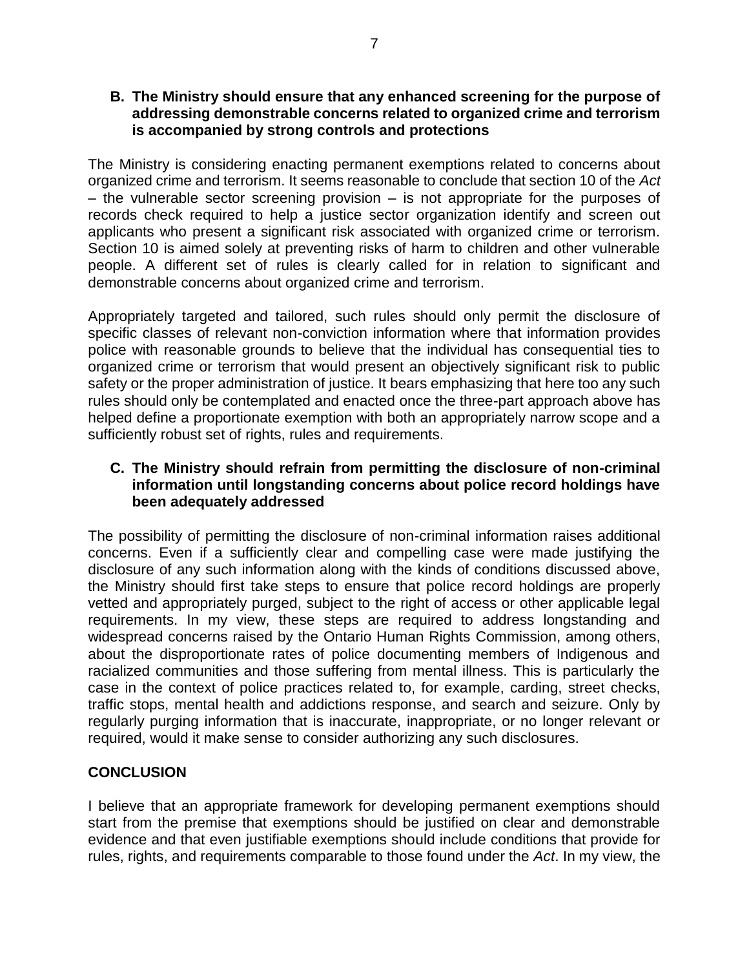#### **B. The Ministry should ensure that any enhanced screening for the purpose of addressing demonstrable concerns related to organized crime and terrorism is accompanied by strong controls and protections**

The Ministry is considering enacting permanent exemptions related to concerns about organized crime and terrorism. It seems reasonable to conclude that section 10 of the *Act* – the vulnerable sector screening provision – is not appropriate for the purposes of records check required to help a justice sector organization identify and screen out applicants who present a significant risk associated with organized crime or terrorism. Section 10 is aimed solely at preventing risks of harm to children and other vulnerable people. A different set of rules is clearly called for in relation to significant and demonstrable concerns about organized crime and terrorism.

Appropriately targeted and tailored, such rules should only permit the disclosure of specific classes of relevant non-conviction information where that information provides police with reasonable grounds to believe that the individual has consequential ties to organized crime or terrorism that would present an objectively significant risk to public safety or the proper administration of justice. It bears emphasizing that here too any such rules should only be contemplated and enacted once the three-part approach above has helped define a proportionate exemption with both an appropriately narrow scope and a sufficiently robust set of rights, rules and requirements.

### **C. The Ministry should refrain from permitting the disclosure of non-criminal information until longstanding concerns about police record holdings have been adequately addressed**

The possibility of permitting the disclosure of non-criminal information raises additional concerns. Even if a sufficiently clear and compelling case were made justifying the disclosure of any such information along with the kinds of conditions discussed above, the Ministry should first take steps to ensure that police record holdings are properly vetted and appropriately purged, subject to the right of access or other applicable legal requirements. In my view, these steps are required to address longstanding and widespread concerns raised by the Ontario Human Rights Commission, among others, about the disproportionate rates of police documenting members of Indigenous and racialized communities and those suffering from mental illness. This is particularly the case in the context of police practices related to, for example, carding, street checks, traffic stops, mental health and addictions response, and search and seizure. Only by regularly purging information that is inaccurate, inappropriate, or no longer relevant or required, would it make sense to consider authorizing any such disclosures.

## **CONCLUSION**

I believe that an appropriate framework for developing permanent exemptions should start from the premise that exemptions should be justified on clear and demonstrable evidence and that even justifiable exemptions should include conditions that provide for rules, rights, and requirements comparable to those found under the *Act*. In my view, the